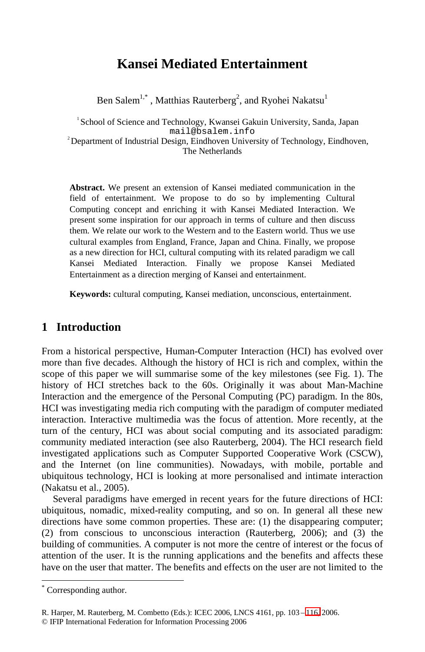# **Kansei Mediated Entertainment**

Ben Salem<sup>1,\*</sup>, Matthias Rauterberg<sup>2</sup>, and Ryohei Nakatsu<sup>1</sup>

<sup>1</sup> School of Science and Technology, Kwansei Gakuin University, Sanda, Japan mail@bsalem.info <sup>2</sup> Department of Industrial Design, Eindhoven University of Technology, Eindhoven, The Netherlands

**Abstract.** We present an extension of Kansei mediated communication in the field of entertainment. We propose to do so by implementing Cultural Computing concept and enriching it with Kansei Mediated Interaction. We present some inspiration for our approach in terms of culture and then discuss them. We relate our work to the Western and to the Eastern world. Thus we use cultural examples from England, France, Japan and China. Finally, we propose as a new direction for HCI, cultural computing with its related paradigm we call Kansei Mediated Interaction. Finally we propose Kansei Mediated Entertainment as a direction merging of Kansei and entertainment.

**Keywords:** cultural computing, Kansei mediation, unconscious, entertainment.

# **1 Introduction**

From a historical perspective, Human-Computer Interaction (HCI) has evolved over more than five decades. Although the history of HCI is rich and complex, within the scope of this paper we will summarise some of the key milestones (see Fig. 1). The history of HCI stretches back to the 60s. Originally it was about Man-Machine Interaction and the emergence of the Personal Computing (PC) paradigm. In the 80s, HCI was investigating media rich computing with the paradigm of computer mediated interaction. Interactive multimedia was the focus of attention. More recently, at the turn of the century, HCI was about social computing and its associated paradigm: community mediated interaction (see also Rauterberg, 2004). The HCI research field investigated applications such as Computer Supported Cooperative Work (CSCW), and the Internet (on line communities). Nowadays, with mobile, portable and ubiquitous technology, HCI is looking at more personalised and intimate interaction (Nakatsu et al., 2005).

Several paradigms have emerged in recent years for the future directions of HCI: ubiquitous, nomadic, mixed-reality computing, and so on. In general all these new directions have some common properties. These are: (1) the disappearing computer; (2) from conscious to unconscious interaction (Rauterberg, 2006); and (3) the building of communities. A computer is not more the centre of interest or the focus of attention of the user. It is the running applications and the benefits and affects these have on the user that matter. The benefits and effects on the user are not limited to the

l

<sup>\*</sup> Corresponding author.

R. Harper, M. Rauterberg, M. Combetto (Eds.): ICEC 2006, LNCS 4161, pp. 103 – [116,](#page-13-0) 2006.

<sup>©</sup> IFIP International Federation for Information Processing 2006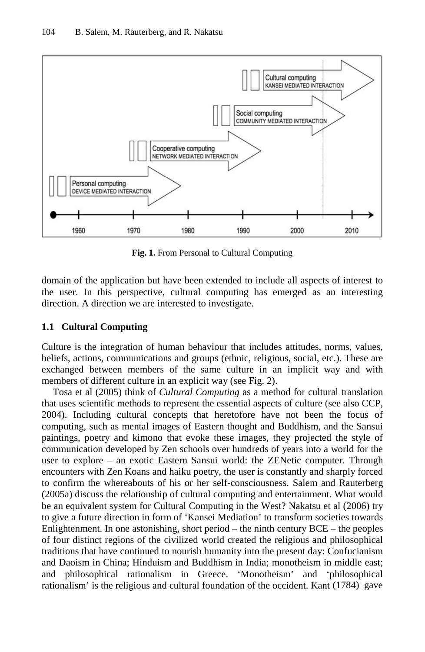

**Fig. 1.** From Personal to Cultural Computing

domain of the application but have been extended to include all aspects of interest to the user. In this perspective, cultural computing has emerged as an interesting direction. A direction we are interested to investigate.

#### **1.1 Cultural Computing**

Culture is the integration of human behaviour that includes attitudes, norms, values, beliefs, actions, communications and groups (ethnic, religious, social, etc.). These are exchanged between members of the same culture in an implicit way and with members of different culture in an explicit way (see Fig. 2).

Tosa et al (2005) think of *Cultural Computing* as a method for cultural translation that uses scientific methods to represent the essential aspects of culture (see also CCP, 2004). Including cultural concepts that heretofore have not been the focus of computing, such as mental images of Eastern thought and Buddhism, and the Sansui paintings, poetry and kimono that evoke these images, they projected the style of communication developed by Zen schools over hundreds of years into a world for the user to explore – an exotic Eastern Sansui world: the ZENetic computer. Through encounters with Zen Koans and haiku poetry, the user is constantly and sharply forced to confirm the whereabouts of his or her self-consciousness. Salem and Rauterberg (2005a) discuss the relationship of cultural computing and entertainment. What would be an equivalent system for Cultural Computing in the West? Nakatsu et al (2006) try to give a future direction in form of 'Kansei Mediation' to transform societies towards Enlightenment. In one astonishing, short period – the ninth century BCE – the peoples of four distinct regions of the civilized world created the religious and philosophical traditions that have continued to nourish humanity into the present day: Confucianism and Daoism in China; Hinduism and Buddhism in India; monotheism in middle east; and philosophical rationalism in Greece. 'Monotheism' and 'philosophical rationalism' is the religious and cultural foundation of the occident. Kant (1784) gave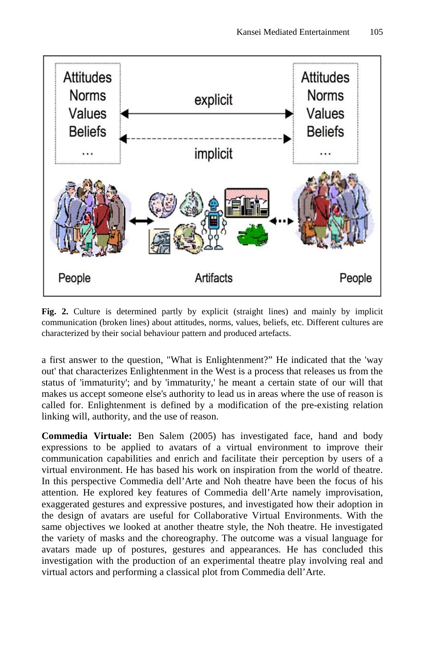

**Fig. 2.** Culture is determined partly by explicit (straight lines) and mainly by implicit communication (broken lines) about attitudes, norms, values, beliefs, etc. Different cultures are characterized by their social behaviour pattern and produced artefacts.

a first answer to the question, "What is Enlightenment?" He indicated that the 'way out' that characterizes Enlightenment in the West is a process that releases us from the status of 'immaturity'; and by 'immaturity,' he meant a certain state of our will that makes us accept someone else's authority to lead us in areas where the use of reason is called for. Enlightenment is defined by a modification of the pre-existing relation linking will, authority, and the use of reason.

**Commedia Virtuale:** Ben Salem (2005) has investigated face, hand and body expressions to be applied to avatars of a virtual environment to improve their communication capabilities and enrich and facilitate their perception by users of a virtual environment. He has based his work on inspiration from the world of theatre. In this perspective Commedia dell'Arte and Noh theatre have been the focus of his attention. He explored key features of Commedia dell'Arte namely improvisation, exaggerated gestures and expressive postures, and investigated how their adoption in the design of avatars are useful for Collaborative Virtual Environments. With the same objectives we looked at another theatre style, the Noh theatre. He investigated the variety of masks and the choreography. The outcome was a visual language for avatars made up of postures, gestures and appearances. He has concluded this investigation with the production of an experimental theatre play involving real and virtual actors and performing a classical plot from Commedia dell'Arte.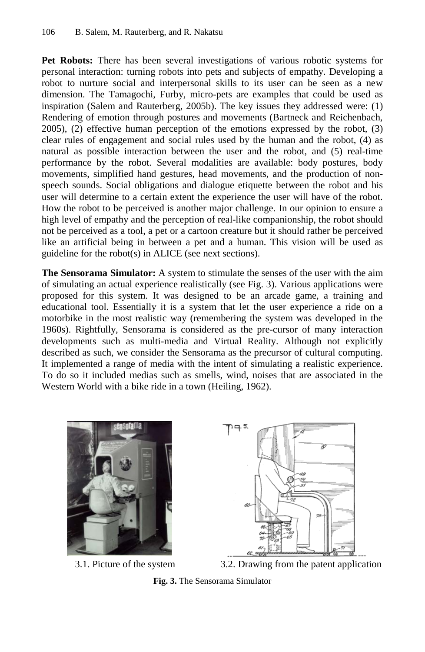Pet Robots: There has been several investigations of various robotic systems for personal interaction: turning robots into pets and subjects of empathy. Developing a robot to nurture social and interpersonal skills to its user can be seen as a new dimension. The Tamagochi, Furby, micro-pets are examples that could be used as inspiration (Salem and Rauterberg, 2005b). The key issues they addressed were: (1) Rendering of emotion through postures and movements (Bartneck and Reichenbach, 2005), (2) effective human perception of the emotions expressed by the robot, (3) clear rules of engagement and social rules used by the human and the robot, (4) as natural as possible interaction between the user and the robot, and (5) real-time performance by the robot. Several modalities are available: body postures, body movements, simplified hand gestures, head movements, and the production of nonspeech sounds. Social obligations and dialogue etiquette between the robot and his user will determine to a certain extent the experience the user will have of the robot. How the robot to be perceived is another major challenge. In our opinion to ensure a high level of empathy and the perception of real-like companionship, the robot should not be perceived as a tool, a pet or a cartoon creature but it should rather be perceived like an artificial being in between a pet and a human. This vision will be used as guideline for the robot(s) in ALICE (see next sections).

**The Sensorama Simulator:** A system to stimulate the senses of the user with the aim of simulating an actual experience realistically (see Fig. 3). Various applications were proposed for this system. It was designed to be an arcade game, a training and educational tool. Essentially it is a system that let the user experience a ride on a motorbike in the most realistic way (remembering the system was developed in the 1960s). Rightfully, Sensorama is considered as the pre-cursor of many interaction developments such as multi-media and Virtual Reality. Although not explicitly described as such, we consider the Sensorama as the precursor of cultural computing. It implemented a range of media with the intent of simulating a realistic experience. To do so it included medias such as smells, wind, noises that are associated in the Western World with a bike ride in a town (Heiling, 1962).





3.1. Picture of the system 3.2. Drawing from the patent application

**Fig. 3.** The Sensorama Simulator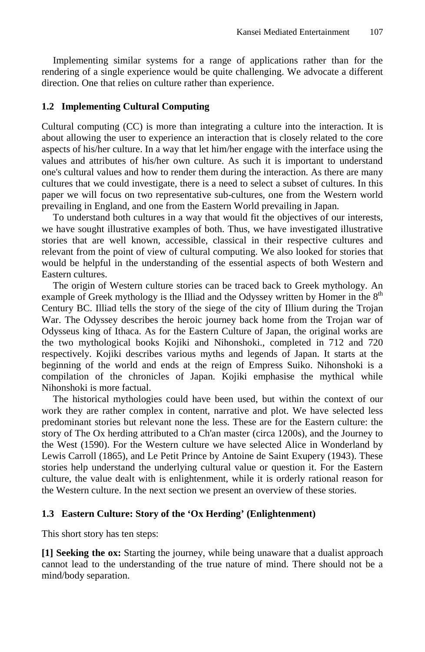Implementing similar systems for a range of applications rather than for the rendering of a single experience would be quite challenging. We advocate a different direction. One that relies on culture rather than experience.

#### **1.2 Implementing Cultural Computing**

Cultural computing (CC) is more than integrating a culture into the interaction. It is about allowing the user to experience an interaction that is closely related to the core aspects of his/her culture. In a way that let him/her engage with the interface using the values and attributes of his/her own culture. As such it is important to understand one's cultural values and how to render them during the interaction. As there are many cultures that we could investigate, there is a need to select a subset of cultures. In this paper we will focus on two representative sub-cultures, one from the Western world prevailing in England, and one from the Eastern World prevailing in Japan.

To understand both cultures in a way that would fit the objectives of our interests, we have sought illustrative examples of both. Thus, we have investigated illustrative stories that are well known, accessible, classical in their respective cultures and relevant from the point of view of cultural computing. We also looked for stories that would be helpful in the understanding of the essential aspects of both Western and Eastern cultures.

The origin of Western culture stories can be traced back to Greek mythology. An example of Greek mythology is the Illiad and the Odyssey written by Homer in the  $8<sup>th</sup>$ Century BC. Illiad tells the story of the siege of the city of Illium during the Trojan War. The Odyssey describes the heroic journey back home from the Trojan war of Odysseus king of Ithaca. As for the Eastern Culture of Japan, the original works are the two mythological books Kojiki and Nihonshoki., completed in 712 and 720 respectively. Kojiki describes various myths and legends of Japan. It starts at the beginning of the world and ends at the reign of Empress Suiko. Nihonshoki is a compilation of the chronicles of Japan. Kojiki emphasise the mythical while Nihonshoki is more factual.

The historical mythologies could have been used, but within the context of our work they are rather complex in content, narrative and plot. We have selected less predominant stories but relevant none the less. These are for the Eastern culture: the story of The Ox herding attributed to a Ch'an master (circa 1200s), and the Journey to the West (1590). For the Western culture we have selected Alice in Wonderland by Lewis Carroll (1865), and Le Petit Prince by Antoine de Saint Exupery (1943). These stories help understand the underlying cultural value or question it. For the Eastern culture, the value dealt with is enlightenment, while it is orderly rational reason for the Western culture. In the next section we present an overview of these stories.

#### **1.3 Eastern Culture: Story of the 'Ox Herding' (Enlightenment)**

This short story has ten steps:

**[1] Seeking the ox:** Starting the journey, while being unaware that a dualist approach cannot lead to the understanding of the true nature of mind. There should not be a mind/body separation.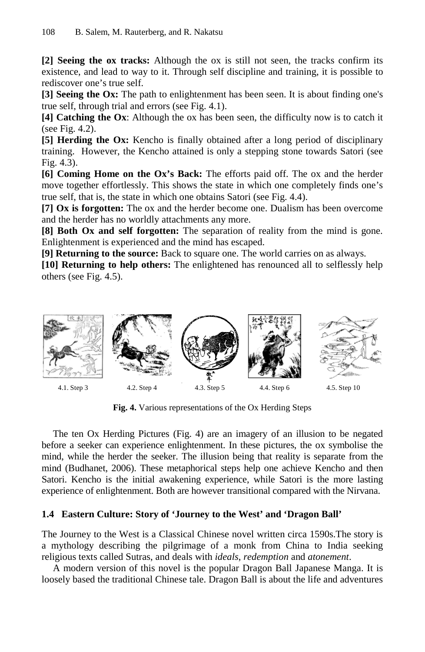**[2] Seeing the ox tracks:** Although the ox is still not seen, the tracks confirm its existence, and lead to way to it. Through self discipline and training, it is possible to rediscover one's true self.

**[3] Seeing the Ox:** The path to enlightenment has been seen. It is about finding one's true self, through trial and errors (see Fig. 4.1).

**[4] Catching the Ox**: Although the ox has been seen, the difficulty now is to catch it (see Fig. 4.2).

**[5] Herding the Ox:** Kencho is finally obtained after a long period of disciplinary training. However, the Kencho attained is only a stepping stone towards Satori (see Fig. 4.3).

**[6] Coming Home on the Ox's Back:** The efforts paid off. The ox and the herder move together effortlessly. This shows the state in which one completely finds one's true self, that is, the state in which one obtains Satori (see Fig. 4.4).

**[7] Ox is forgotten:** The ox and the herder become one. Dualism has been overcome and the herder has no worldly attachments any more.

**[8] Both Ox and self forgotten:** The separation of reality from the mind is gone. Enlightenment is experienced and the mind has escaped.

**[9] Returning to the source:** Back to square one. The world carries on as always.

**[10] Returning to help others:** The enlightened has renounced all to selflessly help others (see Fig. 4.5).



**Fig. 4.** Various representations of the Ox Herding Steps

The ten Ox Herding Pictures (Fig. 4) are an imagery of an illusion to be negated before a seeker can experience enlightenment. In these pictures, the ox symbolise the mind, while the herder the seeker. The illusion being that reality is separate from the mind (Budhanet, 2006). These metaphorical steps help one achieve Kencho and then Satori. Kencho is the initial awakening experience, while Satori is the more lasting experience of enlightenment. Both are however transitional compared with the Nirvana.

#### **1.4 Eastern Culture: Story of 'Journey to the West' and 'Dragon Ball'**

The Journey to the West is a Classical Chinese novel written circa 1590s.The story is a mythology describing the pilgrimage of a monk from China to India seeking religious texts called Sutras, and deals with *ideals*, *redemption* and *atonement*.

A modern version of this novel is the popular Dragon Ball Japanese Manga. It is loosely based the traditional Chinese tale. Dragon Ball is about the life and adventures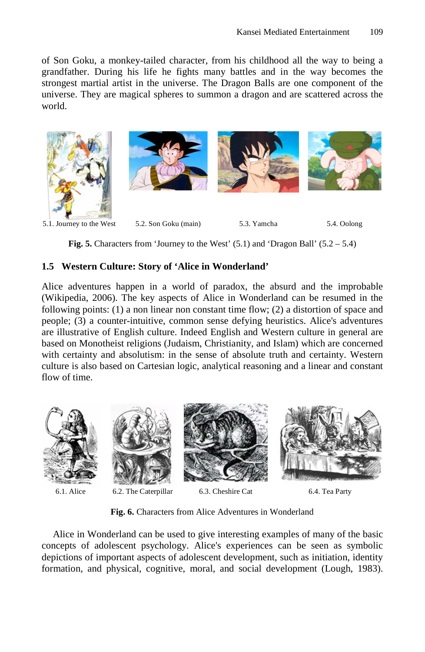of Son Goku, a monkey-tailed character, from his childhood all the way to being a grandfather. During his life he fights many battles and in the way becomes the strongest martial artist in the universe. The Dragon Balls are one component of the universe. They are magical spheres to summon a dragon and are scattered across the world.



**Fig. 5.** Characters from 'Journey to the West'  $(5.1)$  and 'Dragon Ball'  $(5.2 - 5.4)$ 

### **1.5 Western Culture: Story of 'Alice in Wonderland'**

Alice adventures happen in a world of paradox, the absurd and the improbable (Wikipedia, 2006). The key aspects of Alice in Wonderland can be resumed in the following points: (1) a non linear non constant time flow; (2) a distortion of space and people; (3) a counter-intuitive, common sense defying heuristics. Alice's adventures are illustrative of English culture. Indeed English and Western culture in general are based on Monotheist religions (Judaism, Christianity, and Islam) which are concerned with certainty and absolutism: in the sense of absolute truth and certainty. Western culture is also based on Cartesian logic, analytical reasoning and a linear and constant flow of time.



**Fig. 6.** Characters from Alice Adventures in Wonderland

Alice in Wonderland can be used to give interesting examples of many of the basic concepts of adolescent psychology. Alice's experiences can be seen as symbolic depictions of important aspects of adolescent development, such as initiation, identity formation, and physical, cognitive, moral, and social development (Lough, 1983).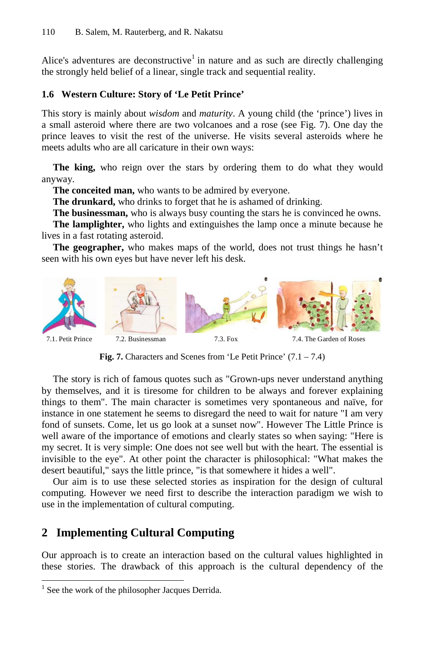Alice's adventures are deconstructive<sup>1</sup> in nature and as such are directly challenging the strongly held belief of a linear, single track and sequential reality.

#### **1.6 Western Culture: Story of 'Le Petit Prince'**

This story is mainly about *wisdom* and *maturity*. A young child (the 'prince') lives in a small asteroid where there are two volcanoes and a rose (see Fig. 7). One day the prince leaves to visit the rest of the universe. He visits several asteroids where he meets adults who are all caricature in their own ways:

**The king,** who reign over the stars by ordering them to do what they would anyway.

**The conceited man,** who wants to be admired by everyone.

**The drunkard,** who drinks to forget that he is ashamed of drinking.

**The businessman,** who is always busy counting the stars he is convinced he owns.

**The lamplighter,** who lights and extinguishes the lamp once a minute because he lives in a fast rotating asteroid.

**The geographer,** who makes maps of the world, does not trust things he hasn't seen with his own eyes but have never left his desk.



**Fig. 7.** Characters and Scenes from 'Le Petit Prince'  $(7.1 - 7.4)$ 

The story is rich of famous quotes such as "Grown-ups never understand anything by themselves, and it is tiresome for children to be always and forever explaining things to them". The main character is sometimes very spontaneous and naïve, for instance in one statement he seems to disregard the need to wait for nature "I am very fond of sunsets. Come, let us go look at a sunset now". However The Little Prince is well aware of the importance of emotions and clearly states so when saying: "Here is my secret. It is very simple: One does not see well but with the heart. The essential is invisible to the eye". At other point the character is philosophical: "What makes the desert beautiful," says the little prince, "is that somewhere it hides a well".

Our aim is to use these selected stories as inspiration for the design of cultural computing. However we need first to describe the interaction paradigm we wish to use in the implementation of cultural computing.

### **2 Implementing Cultural Computing**

Our approach is to create an interaction based on the cultural values highlighted in these stories. The drawback of this approach is the cultural dependency of the

l

<sup>&</sup>lt;sup>1</sup> See the work of the philosopher Jacques Derrida.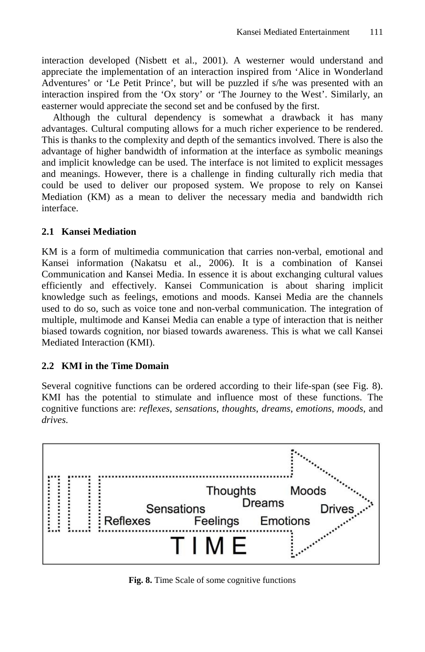interaction developed (Nisbett et al., 2001). A westerner would understand and appreciate the implementation of an interaction inspired from 'Alice in Wonderland Adventures' or 'Le Petit Prince', but will be puzzled if s/he was presented with an interaction inspired from the 'Ox story' or 'The Journey to the West'. Similarly, an easterner would appreciate the second set and be confused by the first.

Although the cultural dependency is somewhat a drawback it has many advantages. Cultural computing allows for a much richer experience to be rendered. This is thanks to the complexity and depth of the semantics involved. There is also the advantage of higher bandwidth of information at the interface as symbolic meanings and implicit knowledge can be used. The interface is not limited to explicit messages and meanings. However, there is a challenge in finding culturally rich media that could be used to deliver our proposed system. We propose to rely on Kansei Mediation (KM) as a mean to deliver the necessary media and bandwidth rich interface.

#### **2.1 Kansei Mediation**

KM is a form of multimedia communication that carries non-verbal, emotional and Kansei information (Nakatsu et al., 2006). It is a combination of Kansei Communication and Kansei Media. In essence it is about exchanging cultural values efficiently and effectively. Kansei Communication is about sharing implicit knowledge such as feelings, emotions and moods. Kansei Media are the channels used to do so, such as voice tone and non-verbal communication. The integration of multiple, multimode and Kansei Media can enable a type of interaction that is neither biased towards cognition, nor biased towards awareness. This is what we call Kansei Mediated Interaction (KMI).

#### **2.2 KMI in the Time Domain**

Several cognitive functions can be ordered according to their life-span (see Fig. 8). KMI has the potential to stimulate and influence most of these functions. The cognitive functions are: *reflexes*, *sensations*, *thoughts*, *dreams*, *emotions*, *moods*, and *drives*.



**Fig. 8.** Time Scale of some cognitive functions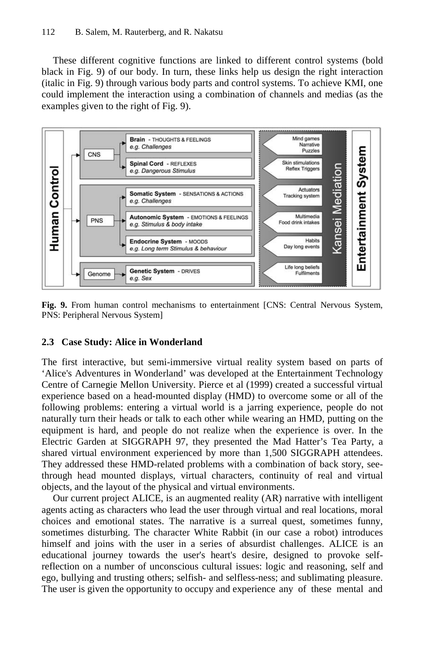These different cognitive functions are linked to different control systems (bold black in Fig. 9) of our body. In turn, these links help us design the right interaction (italic in Fig. 9) through various body parts and control systems. To achieve KMI, one could implement the interaction using a combination of channels and medias (as the examples given to the right of Fig. 9).



**Fig. 9.** From human control mechanisms to entertainment [CNS: Central Nervous System, PNS: Peripheral Nervous System]

#### **2.3 Case Study: Alice in Wonderland**

The first interactive, but semi-immersive virtual reality system based on parts of 'Alice's Adventures in Wonderland' was developed at the Entertainment Technology Centre of Carnegie Mellon University. Pierce et al (1999) created a successful virtual experience based on a head-mounted display (HMD) to overcome some or all of the following problems: entering a virtual world is a jarring experience, people do not naturally turn their heads or talk to each other while wearing an HMD, putting on the equipment is hard, and people do not realize when the experience is over. In the Electric Garden at SIGGRAPH 97, they presented the Mad Hatter's Tea Party, a shared virtual environment experienced by more than 1,500 SIGGRAPH attendees. They addressed these HMD-related problems with a combination of back story, seethrough head mounted displays, virtual characters, continuity of real and virtual objects, and the layout of the physical and virtual environments.

Our current project ALICE, is an augmented reality (AR) narrative with intelligent agents acting as characters who lead the user through virtual and real locations, moral choices and emotional states. The narrative is a surreal quest, sometimes funny, sometimes disturbing. The character White Rabbit (in our case a robot) introduces himself and joins with the user in a series of absurdist challenges. ALICE is an educational journey towards the user's heart's desire, designed to provoke selfreflection on a number of unconscious cultural issues: logic and reasoning, self and ego, bullying and trusting others; selfish- and selfless-ness; and sublimating pleasure. The user is given the opportunity to occupy and experience any of these mental and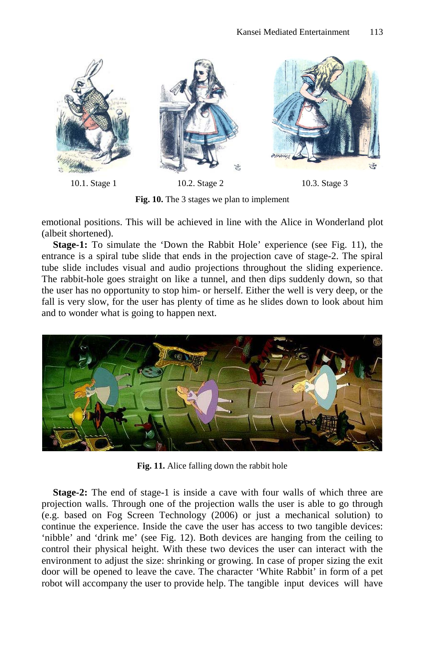

**Fig. 10.** The 3 stages we plan to implement

emotional positions. This will be achieved in line with the Alice in Wonderland plot (albeit shortened).

**Stage-1:** To simulate the 'Down the Rabbit Hole' experience (see Fig. 11), the entrance is a spiral tube slide that ends in the projection cave of stage-2. The spiral tube slide includes visual and audio projections throughout the sliding experience. The rabbit-hole goes straight on like a tunnel, and then dips suddenly down, so that the user has no opportunity to stop him- or herself. Either the well is very deep, or the fall is very slow, for the user has plenty of time as he slides down to look about him and to wonder what is going to happen next.



**Fig. 11.** Alice falling down the rabbit hole

**Stage-2:** The end of stage-1 is inside a cave with four walls of which three are projection walls. Through one of the projection walls the user is able to go through (e.g. based on Fog Screen Technology (2006) or just a mechanical solution) to continue the experience. Inside the cave the user has access to two tangible devices: 'nibble' and 'drink me' (see Fig. 12). Both devices are hanging from the ceiling to control their physical height. With these two devices the user can interact with the environment to adjust the size: shrinking or growing. In case of proper sizing the exit door will be opened to leave the cave. The character 'White Rabbit' in form of a pet robot will accompany the user to provide help. The tangible input devices will have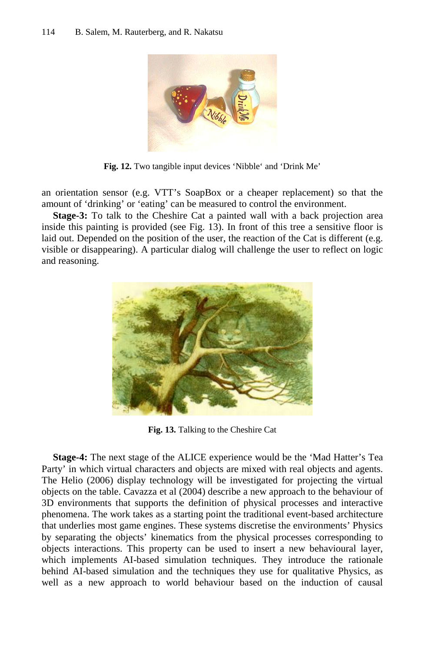

**Fig. 12.** Two tangible input devices 'Nibble' and 'Drink Me'

an orientation sensor (e.g. VTT's SoapBox or a cheaper replacement) so that the amount of 'drinking' or 'eating' can be measured to control the environment.

**Stage-3:** To talk to the Cheshire Cat a painted wall with a back projection area inside this painting is provided (see Fig. 13). In front of this tree a sensitive floor is laid out. Depended on the position of the user, the reaction of the Cat is different (e.g. visible or disappearing). A particular dialog will challenge the user to reflect on logic and reasoning.



**Fig. 13.** Talking to the Cheshire Cat

**Stage-4:** The next stage of the ALICE experience would be the 'Mad Hatter's Tea Party' in which virtual characters and objects are mixed with real objects and agents. The Helio (2006) display technology will be investigated for projecting the virtual objects on the table. Cavazza et al (2004) describe a new approach to the behaviour of 3D environments that supports the definition of physical processes and interactive phenomena. The work takes as a starting point the traditional event-based architecture that underlies most game engines. These systems discretise the environments' Physics by separating the objects' kinematics from the physical processes corresponding to objects interactions. This property can be used to insert a new behavioural layer, which implements AI-based simulation techniques. They introduce the rationale behind AI-based simulation and the techniques they use for qualitative Physics, as well as a new approach to world behaviour based on the induction of causal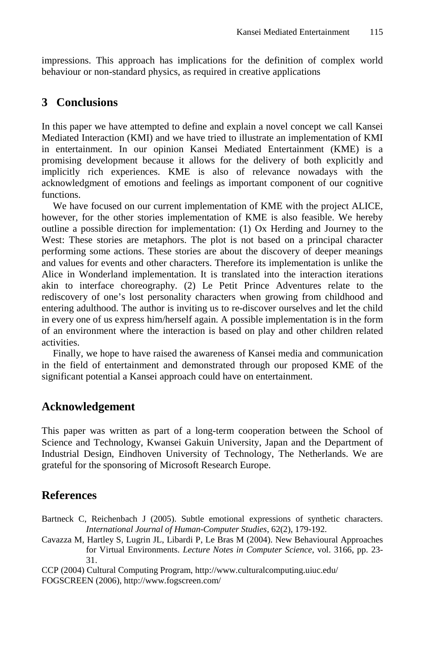impressions. This approach has implications for the definition of complex world behaviour or non-standard physics, as required in creative applications

## **3 Conclusions**

In this paper we have attempted to define and explain a novel concept we call Kansei Mediated Interaction (KMI) and we have tried to illustrate an implementation of KMI in entertainment. In our opinion Kansei Mediated Entertainment (KME) is a promising development because it allows for the delivery of both explicitly and implicitly rich experiences. KME is also of relevance nowadays with the acknowledgment of emotions and feelings as important component of our cognitive functions.

We have focused on our current implementation of KME with the project ALICE, however, for the other stories implementation of KME is also feasible. We hereby outline a possible direction for implementation: (1) Ox Herding and Journey to the West: These stories are metaphors. The plot is not based on a principal character performing some actions. These stories are about the discovery of deeper meanings and values for events and other characters. Therefore its implementation is unlike the Alice in Wonderland implementation. It is translated into the interaction iterations akin to interface choreography. (2) Le Petit Prince Adventures relate to the rediscovery of one's lost personality characters when growing from childhood and entering adulthood. The author is inviting us to re-discover ourselves and let the child in every one of us express him/herself again. A possible implementation is in the form of an environment where the interaction is based on play and other children related activities.

Finally, we hope to have raised the awareness of Kansei media and communication in the field of entertainment and demonstrated through our proposed KME of the significant potential a Kansei approach could have on entertainment.

### **Acknowledgement**

This paper was written as part of a long-term cooperation between the School of Science and Technology, Kwansei Gakuin University, Japan and the Department of Industrial Design, Eindhoven University of Technology, The Netherlands. We are grateful for the sponsoring of Microsoft Research Europe.

### **References**

Bartneck C, Reichenbach J (2005). Subtle emotional expressions of synthetic characters. *International Journal of Human-Computer Studies*, 62(2), 179-192.

Cavazza M, Hartley S, Lugrin JL, Libardi P, Le Bras M (2004). New Behavioural Approaches for Virtual Environments. *Lecture Notes in Computer Science*, vol. 3166, pp. 23- 31.

CCP (2004) Cultural Computing Program, http://www.culturalcomputing.uiuc.edu/ FOGSCREEN (2006), http://www.fogscreen.com/